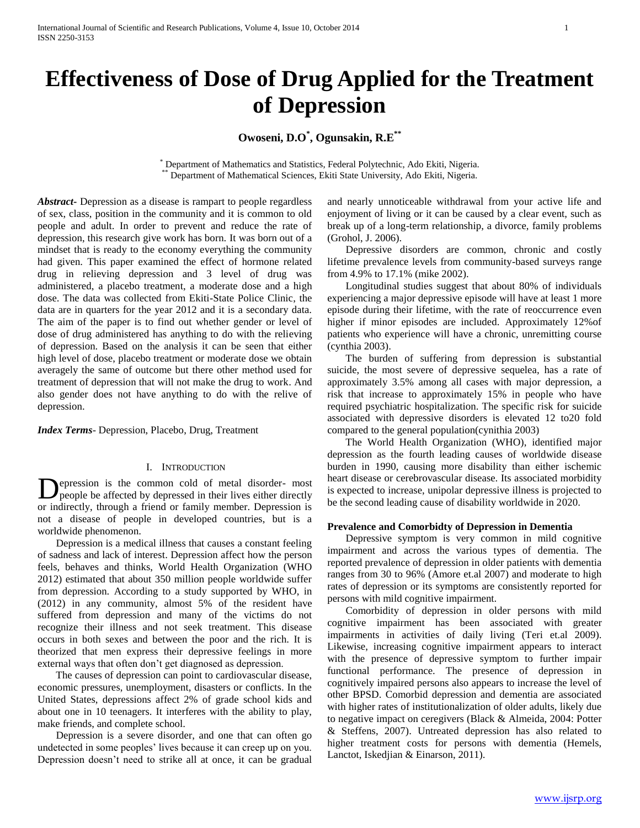# **Effectiveness of Dose of Drug Applied for the Treatment of Depression**

**Owoseni, D.O\* , Ogunsakin, R.E\*\***

\* Department of Mathematics and Statistics, Federal Polytechnic, Ado Ekiti, Nigeria. Department of Mathematical Sciences, Ekiti State University, Ado Ekiti, Nigeria.

*Abstract***-** Depression as a disease is rampart to people regardless of sex, class, position in the community and it is common to old people and adult. In order to prevent and reduce the rate of depression, this research give work has born. It was born out of a mindset that is ready to the economy everything the community had given. This paper examined the effect of hormone related drug in relieving depression and 3 level of drug was administered, a placebo treatment, a moderate dose and a high dose. The data was collected from Ekiti-State Police Clinic, the data are in quarters for the year 2012 and it is a secondary data. The aim of the paper is to find out whether gender or level of dose of drug administered has anything to do with the relieving of depression. Based on the analysis it can be seen that either high level of dose, placebo treatment or moderate dose we obtain averagely the same of outcome but there other method used for treatment of depression that will not make the drug to work. And also gender does not have anything to do with the relive of depression.

*Index Terms*- Depression, Placebo, Drug, Treatment

### I. INTRODUCTION

epression is the common cold of metal disorder- most people be affected by depressed in their lives either directly or indirectly, through a friend or family member. Depression is not a disease of people in developed countries, but is a worldwide phenomenon. D

 Depression is a medical illness that causes a constant feeling of sadness and lack of interest. Depression affect how the person feels, behaves and thinks, World Health Organization (WHO 2012) estimated that about 350 million people worldwide suffer from depression. According to a study supported by WHO, in (2012) in any community, almost 5% of the resident have suffered from depression and many of the victims do not recognize their illness and not seek treatment. This disease occurs in both sexes and between the poor and the rich. It is theorized that men express their depressive feelings in more external ways that often don't get diagnosed as depression.

 The causes of depression can point to cardiovascular disease, economic pressures, unemployment, disasters or conflicts. In the United States, depressions affect 2% of grade school kids and about one in 10 teenagers. It interferes with the ability to play, make friends, and complete school.

 Depression is a severe disorder, and one that can often go undetected in some peoples' lives because it can creep up on you. Depression doesn't need to strike all at once, it can be gradual and nearly unnoticeable withdrawal from your active life and enjoyment of living or it can be caused by a clear event, such as break up of a long-term relationship, a divorce, family problems (Grohol, J. 2006).

 Depressive disorders are common, chronic and costly lifetime prevalence levels from community-based surveys range from 4.9% to 17.1% (mike 2002).

 Longitudinal studies suggest that about 80% of individuals experiencing a major depressive episode will have at least 1 more episode during their lifetime, with the rate of reoccurrence even higher if minor episodes are included. Approximately 12%of patients who experience will have a chronic, unremitting course (cynthia 2003).

 The burden of suffering from depression is substantial suicide, the most severe of depressive sequelea, has a rate of approximately 3.5% among all cases with major depression, a risk that increase to approximately 15% in people who have required psychiatric hospitalization. The specific risk for suicide associated with depressive disorders is elevated 12 to20 fold compared to the general population(cynithia 2003)

 The World Health Organization (WHO), identified major depression as the fourth leading causes of worldwide disease burden in 1990, causing more disability than either ischemic heart disease or cerebrovascular disease. Its associated morbidity is expected to increase, unipolar depressive illness is projected to be the second leading cause of disability worldwide in 2020.

#### **Prevalence and Comorbidty of Depression in Dementia**

 Depressive symptom is very common in mild cognitive impairment and across the various types of dementia. The reported prevalence of depression in older patients with dementia ranges from 30 to 96% (Amore et.al 2007) and moderate to high rates of depression or its symptoms are consistently reported for persons with mild cognitive impairment.

 Comorbidity of depression in older persons with mild cognitive impairment has been associated with greater impairments in activities of daily living (Teri et.al 2009). Likewise, increasing cognitive impairment appears to interact with the presence of depressive symptom to further impair functional performance. The presence of depression in cognitively impaired persons also appears to increase the level of other BPSD. Comorbid depression and dementia are associated with higher rates of institutionalization of older adults, likely due to negative impact on ceregivers (Black & Almeida, 2004: Potter & Steffens, 2007). Untreated depression has also related to higher treatment costs for persons with dementia (Hemels, Lanctot, Iskedjian & Einarson, 2011).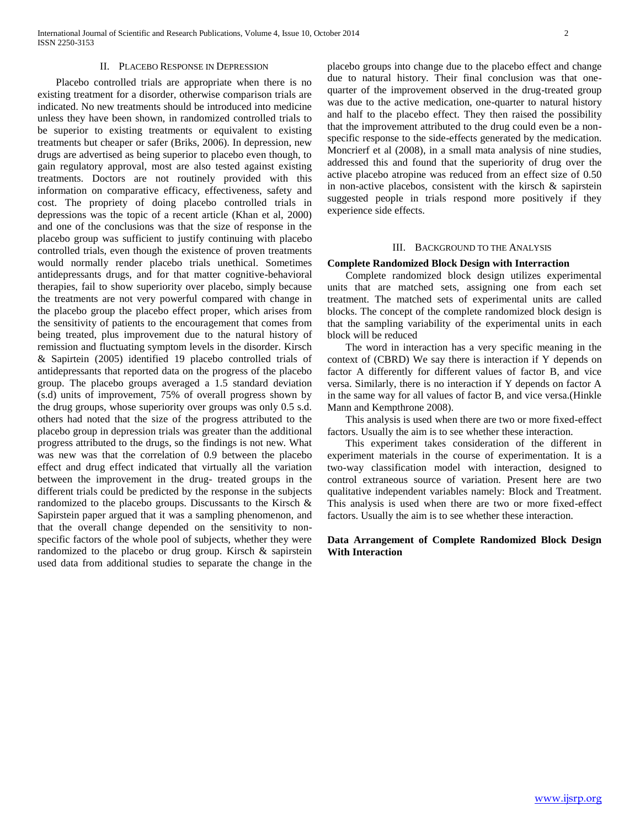#### II. PLACEBO RESPONSE IN DEPRESSION

 Placebo controlled trials are appropriate when there is no existing treatment for a disorder, otherwise comparison trials are indicated. No new treatments should be introduced into medicine unless they have been shown, in randomized controlled trials to be superior to existing treatments or equivalent to existing treatments but cheaper or safer (Briks, 2006). In depression, new drugs are advertised as being superior to placebo even though, to gain regulatory approval, most are also tested against existing treatments. Doctors are not routinely provided with this information on comparative efficacy, effectiveness, safety and cost. The propriety of doing placebo controlled trials in depressions was the topic of a recent article (Khan et al, 2000) and one of the conclusions was that the size of response in the placebo group was sufficient to justify continuing with placebo controlled trials, even though the existence of proven treatments would normally render placebo trials unethical. Sometimes antidepressants drugs, and for that matter cognitive-behavioral therapies, fail to show superiority over placebo, simply because the treatments are not very powerful compared with change in the placebo group the placebo effect proper, which arises from the sensitivity of patients to the encouragement that comes from being treated, plus improvement due to the natural history of remission and fluctuating symptom levels in the disorder. Kirsch & Sapirtein (2005) identified 19 placebo controlled trials of antidepressants that reported data on the progress of the placebo group. The placebo groups averaged a 1.5 standard deviation (s.d) units of improvement, 75% of overall progress shown by the drug groups, whose superiority over groups was only 0.5 s.d. others had noted that the size of the progress attributed to the placebo group in depression trials was greater than the additional progress attributed to the drugs, so the findings is not new. What was new was that the correlation of 0.9 between the placebo effect and drug effect indicated that virtually all the variation between the improvement in the drug- treated groups in the different trials could be predicted by the response in the subjects randomized to the placebo groups. Discussants to the Kirsch & Sapirstein paper argued that it was a sampling phenomenon, and that the overall change depended on the sensitivity to nonspecific factors of the whole pool of subjects, whether they were randomized to the placebo or drug group. Kirsch & sapirstein used data from additional studies to separate the change in the

placebo groups into change due to the placebo effect and change due to natural history. Their final conclusion was that onequarter of the improvement observed in the drug-treated group was due to the active medication, one-quarter to natural history and half to the placebo effect. They then raised the possibility that the improvement attributed to the drug could even be a nonspecific response to the side-effects generated by the medication. Moncrierf et al (2008), in a small mata analysis of nine studies, addressed this and found that the superiority of drug over the active placebo atropine was reduced from an effect size of 0.50 in non-active placebos, consistent with the kirsch  $\&$  sapirstein suggested people in trials respond more positively if they experience side effects.

#### III. BACKGROUND TO THE ANALYSIS

#### **Complete Randomized Block Design with Interraction**

 Complete randomized block design utilizes experimental units that are matched sets, assigning one from each set treatment. The matched sets of experimental units are called blocks. The concept of the complete randomized block design is that the sampling variability of the experimental units in each block will be reduced

 The word in interaction has a very specific meaning in the context of (CBRD) We say there is interaction if Y depends on factor A differently for different values of factor B, and vice versa. Similarly, there is no interaction if Y depends on factor A in the same way for all values of factor B, and vice versa.(Hinkle Mann and Kempthrone 2008).

 This analysis is used when there are two or more fixed-effect factors. Usually the aim is to see whether these interaction.

 This experiment takes consideration of the different in experiment materials in the course of experimentation. It is a two-way classification model with interaction, designed to control extraneous source of variation. Present here are two qualitative independent variables namely: Block and Treatment. This analysis is used when there are two or more fixed-effect factors. Usually the aim is to see whether these interaction.

## **Data Arrangement of Complete Randomized Block Design With Interaction**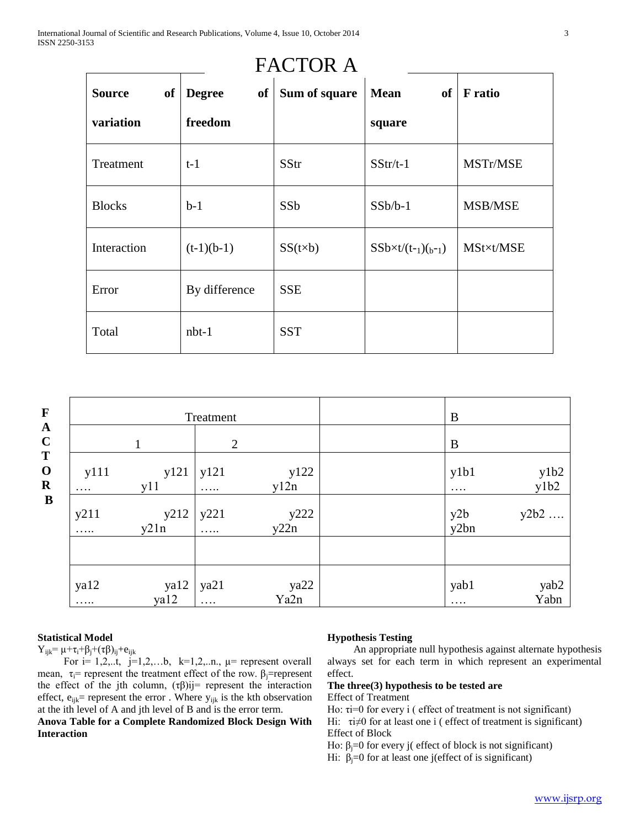|                     |                     | <b>FACTOR A</b> |                           |                |
|---------------------|---------------------|-----------------|---------------------------|----------------|
| of<br><b>Source</b> | <b>Degree</b><br>of | Sum of square   | <b>Mean</b><br>of         | <b>F</b> ratio |
| variation           | freedom             |                 | square                    |                |
| Treatment           | $t-1$               | SStr            | $SStr/t-1$                | MSTr/MSE       |
| <b>Blocks</b>       | $b-1$               | SSb             | $SSb/b-1$                 | MSB/MSE        |
| Interaction         | $(t-1)(b-1)$        | $SS(t\times b)$ | $SSb \times t/(t-1)(b-1)$ | MSt×t/MSE      |
| Error               | By difference       | <b>SSE</b>      |                           |                |
| Total               | $nbt-1$             | <b>SST</b>      |                           |                |

| $\mathbf F$                          |                  | Treatment    |                  |              | B           |                  |
|--------------------------------------|------------------|--------------|------------------|--------------|-------------|------------------|
| $\boldsymbol{\rm{A}}$<br>$\mathbf C$ |                  |              | $\overline{2}$   |              | B           |                  |
| T<br>$\mathbf O$<br>$\mathbf R$      | y111<br>$\cdots$ | y121<br>y11  | y121<br>$\cdots$ | y122<br>y12n | y1b1<br>.   | $y1b2$<br>$y1b2$ |
| $\mathbf{B}$                         | y211<br>$\cdots$ | y212<br>y21n | y221<br>$\ldots$ | y222<br>y22n | y2b<br>y2bn | y2b2             |
|                                      |                  |              |                  |              |             |                  |
|                                      | ya12<br>$\cdots$ | ya12<br>ya12 | ya21<br>$\ldots$ | ya22<br>Ya2n | yab1<br>.   | yab2<br>Yabn     |

# **Statistical Model**

 $Y_{ijk} = \mu + \tau_i + \beta_j + (\tau \beta)_{ij} + e_{ijk}$ 

For  $i= 1,2,...$ t,  $j=1,2,...$ b,  $k=1,2,...n$ ,  $\mu$  = represent overall mean,  $\tau_i$ = represent the treatment effect of the row.  $\beta_i$ = represent the effect of the jth column,  $(\tau \beta)$ ij= represent the interaction effect,  $e_{ijk}$ = represent the error . Where  $y_{ijk}$  is the kth observation at the ith level of A and jth level of B and is the error term.

## **Anova Table for a Complete Randomized Block Design With Interaction**

## **Hypothesis Testing**

 An appropriate null hypothesis against alternate hypothesis always set for each term in which represent an experimental effect.

## **The three(3) hypothesis to be tested are** Effect of Treatment

Ho: τi=0 for every i ( effect of treatment is not significant) Hi:  $\tau i \neq 0$  for at least one i ( effect of treatment is significant)

Effect of Block

Ho:  $β<sub>i</sub>=0$  for every j( effect of block is not significant)

Hi:  $β<sub>j</sub>=0$  for at least one j(effect of is significant)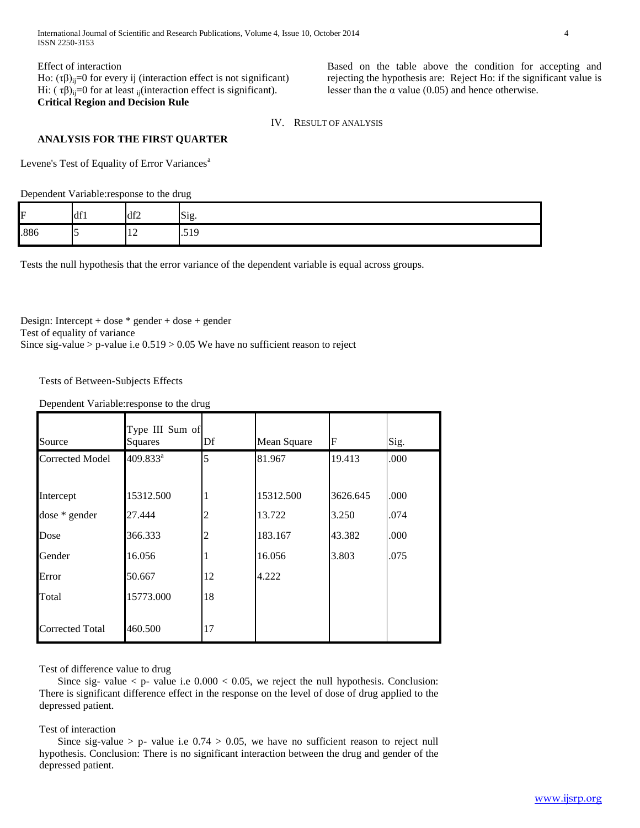International Journal of Scientific and Research Publications, Volume 4, Issue 10, October 2014 4 ISSN 2250-3153

Effect of interaction Ho:  $(τβ)_{ij}$ =0 for every ij (interaction effect is not significant) Hi: ( $\tau$ β)<sub>ij</sub>=0 for at least <sub>ij</sub>(interaction effect is significant). **Critical Region and Decision Rule**

Based on the table above the condition for accepting and rejecting the hypothesis are: Reject Ho: if the significant value is lesser than the  $\alpha$  value (0.05) and hence otherwise.

IV. RESULT OF ANALYSIS

## **ANALYSIS FOR THE FIRST QUARTER**

Levene's Test of Equality of Error Variances<sup>a</sup>

Dependent Variable:response to the drug

| ᠇    | df1 | df2                          | Sig<br>. . |
|------|-----|------------------------------|------------|
| .886 | . . | $1^{\circ}$<br>$\frac{1}{2}$ | .519       |

Tests the null hypothesis that the error variance of the dependent variable is equal across groups.

Design: Intercept + dose \* gender + dose + gender Test of equality of variance Since sig-value > p-value i.e  $0.519 > 0.05$  We have no sufficient reason to reject

Tests of Between-Subjects Effects

Dependent Variable:response to the drug

| Source                 | Type III Sum of<br>Squares | Df | Mean Square | F        | Sig. |
|------------------------|----------------------------|----|-------------|----------|------|
| <b>Corrected Model</b> | 409.833 <sup>a</sup>       | 5  | 81.967      | 19.413   | .000 |
|                        |                            |    |             |          |      |
| Intercept              | 15312.500                  | 1  | 15312.500   | 3626.645 | .000 |
| dose * gender          | 27.444                     | 2  | 13.722      | 3.250    | .074 |
| Dose                   | 366.333                    | 2  | 183.167     | 43.382   | .000 |
| Gender                 | 16.056                     |    | 16.056      | 3.803    | .075 |
| Error                  | 50.667                     | 12 | 4.222       |          |      |
| Total                  | 15773.000                  | 18 |             |          |      |
| <b>Corrected Total</b> | 460.500                    | 17 |             |          |      |

Test of difference value to drug

Since sig- value  $\lt p$ - value i.e  $0.000 \lt 0.05$ , we reject the null hypothesis. Conclusion: There is significant difference effect in the response on the level of dose of drug applied to the depressed patient.

Test of interaction

Since sig-value > p- value i.e  $0.74 > 0.05$ , we have no sufficient reason to reject null hypothesis. Conclusion: There is no significant interaction between the drug and gender of the depressed patient.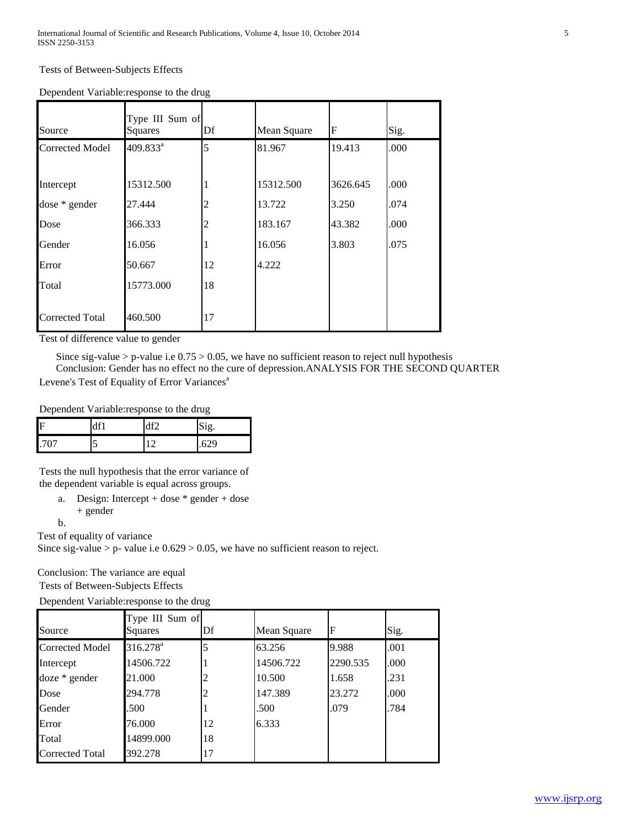| Source                 | Type III Sum of<br>Squares | Df             | Mean Square | F        | Sig. |
|------------------------|----------------------------|----------------|-------------|----------|------|
| <b>Corrected Model</b> | 409.833 <sup>a</sup>       | 5              | 81.967      | 19.413   | .000 |
|                        |                            |                |             |          |      |
| Intercept              | 15312.500                  |                | 15312.500   | 3626.645 | .000 |
| dose * gender          | 27.444                     | 2              | 13.722      | 3.250    | .074 |
| Dose                   | 366.333                    | $\overline{c}$ | 183.167     | 43.382   | .000 |
| Gender                 | 16.056                     |                | 16.056      | 3.803    | .075 |
| Error                  | 50.667                     | 12             | 4.222       |          |      |
| Total                  | 15773.000                  | 18             |             |          |      |
|                        |                            |                |             |          |      |
| <b>Corrected Total</b> | 460.500                    | 17             |             |          |      |

Test of difference value to gender

Since sig-value > p-value i.e  $0.75 > 0.05$ , we have no sufficient reason to reject null hypothesis

 Conclusion: Gender has no effect no the cure of depression.ANALYSIS FOR THE SECOND QUARTER Levene's Test of Equality of Error Variances<sup>a</sup>

Dependent Variable:response to the drug

| F    | df'    | 10 <sup>o</sup> | Sig.   |
|------|--------|-----------------|--------|
| .707 | -<br>J |                 | $\sim$ |

Tests the null hypothesis that the error variance of the dependent variable is equal across groups.

a. Design: Intercept + dose \* gender + dose + gender

b.

Test of equality of variance

Since sig-value > p- value i.e  $0.629 > 0.05$ , we have no sufficient reason to reject.

Conclusion: The variance are equal

Tests of Between-Subjects Effects

Dependent Variable:response to the drug

| Source                 | Type III Sum of<br>Squares | Df | Mean Square | F        | Sig. |
|------------------------|----------------------------|----|-------------|----------|------|
| <b>Corrected Model</b> | $316.278^{\text{a}}$       |    | 63.256      | 9.988    | .001 |
| Intercept              | 14506.722                  |    | 14506.722   | 2290.535 | .000 |
| $doze * gender$        | 21.000                     | 2  | 10.500      | 1.658    | .231 |
| Dose                   | 294.778                    |    | 147.389     | 23.272   | .000 |
| Gender                 | .500                       |    | .500        | .079     | .784 |
| Error                  | 76.000                     | 12 | 6.333       |          |      |
| Total                  | 14899.000                  | 18 |             |          |      |
| Corrected Total        | 392.278                    | 17 |             |          |      |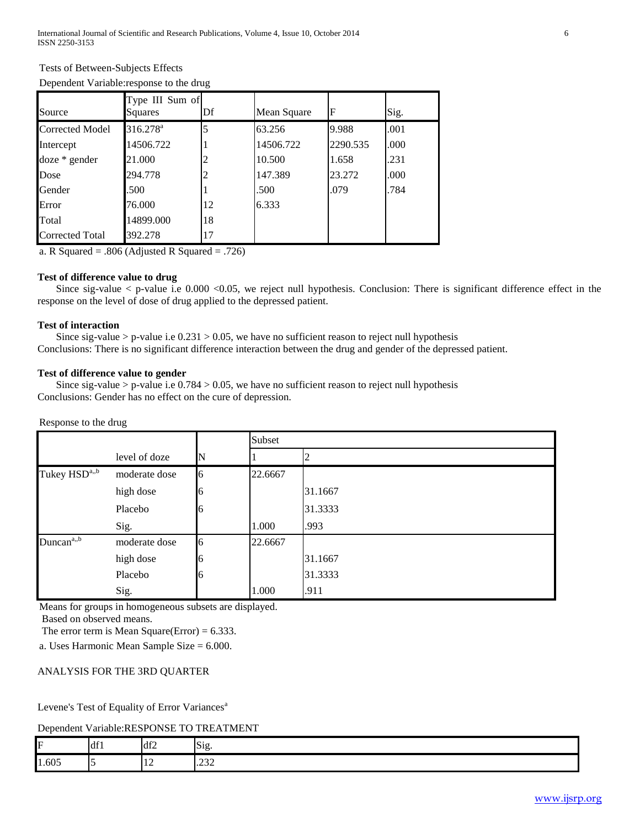# Tests of Between-Subjects Effects

|  |  | Dependent Variable: response to the drug |
|--|--|------------------------------------------|
|--|--|------------------------------------------|

| Source                 | Type III Sum of<br>Squares | Df | Mean Square | $\mathbf F$ | Sig. |
|------------------------|----------------------------|----|-------------|-------------|------|
| <b>Corrected Model</b> | 316.278 <sup>a</sup>       |    | 63.256      | 9.988       | .001 |
| Intercept              | 14506.722                  |    | 14506.722   | 2290.535    | .000 |
| $doze * gender$        | 21.000                     |    | 10.500      | 1.658       | .231 |
| Dose                   | 294.778                    |    | 147.389     | 23.272      | .000 |
| Gender                 | .500                       |    | .500        | .079        | .784 |
| Error                  | 76.000                     | 12 | 6.333       |             |      |
| Total                  | 14899.000                  | 18 |             |             |      |
| Corrected Total        | 392.278                    | 17 |             |             |      |

a. R Squared = .806 (Adjusted R Squared = .726)

### **Test of difference value to drug**

Since sig-value  $\lt$  p-value i.e 0.000  $\lt$ 0.05, we reject null hypothesis. Conclusion: There is significant difference effect in the response on the level of dose of drug applied to the depressed patient.

### **Test of interaction**

Since sig-value > p-value i.e  $0.231 > 0.05$ , we have no sufficient reason to reject null hypothesis Conclusions: There is no significant difference interaction between the drug and gender of the depressed patient.

## **Test of difference value to gender**

Since sig-value > p-value i.e  $0.784 > 0.05$ , we have no sufficient reason to reject null hypothesis Conclusions: Gender has no effect on the cure of depression.

#### Response to the drug

|                           |               |   | Subset  |         |
|---------------------------|---------------|---|---------|---------|
|                           | level of doze |   |         |         |
| Tukey HSD <sup>a,,b</sup> | moderate dose | 6 | 22.6667 |         |
|                           | high dose     | 6 |         | 31.1667 |
|                           | Placebo       | 6 |         | 31.3333 |
|                           | Sig.          |   | 1.000   | .993    |
| Duncan <sup>a,b</sup>     | moderate dose | 6 | 22.6667 |         |
|                           | high dose     | 6 |         | 31.1667 |
|                           | Placebo       | 6 |         | 31.3333 |
|                           | Sig.          |   | 1.000   | .911    |

Means for groups in homogeneous subsets are displayed. Based on observed means.

The error term is Mean Square(Error) =  $6.333$ .

a. Uses Harmonic Mean Sample Size = 6.000.

## ANALYSIS FOR THE 3RD QUARTER

Levene's Test of Equality of Error Variances<sup>a</sup>

Dependent Variable:RESPONSE TO TREATMENT

| ∽     | df1 | .<br>Q12 | $\Gamma$ $\sim$<br>DIE. |
|-------|-----|----------|-------------------------|
| 1.605 |     | .        | $\sim$                  |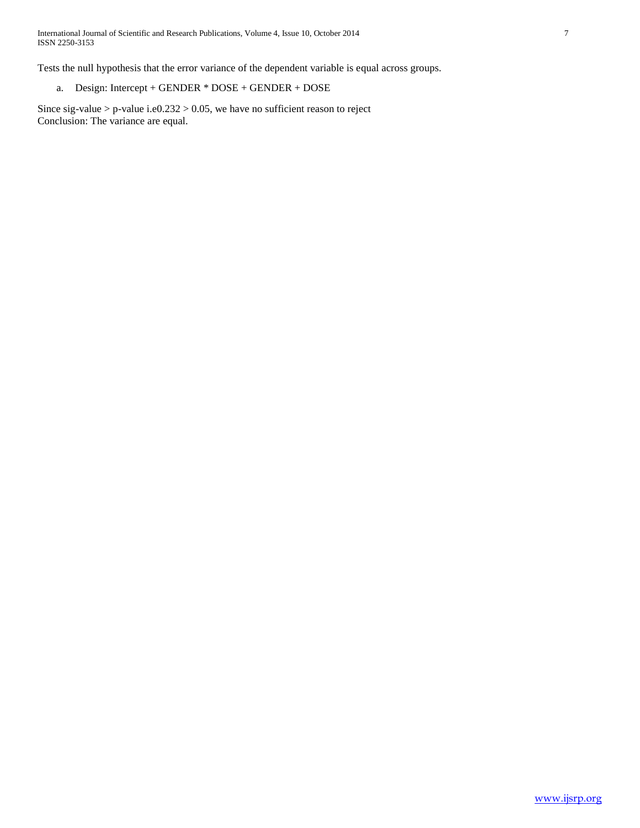Tests the null hypothesis that the error variance of the dependent variable is equal across groups.

a. Design: Intercept + GENDER \* DOSE + GENDER + DOSE

Since sig-value > p-value i.e0.232 > 0.05, we have no sufficient reason to reject Conclusion: The variance are equal.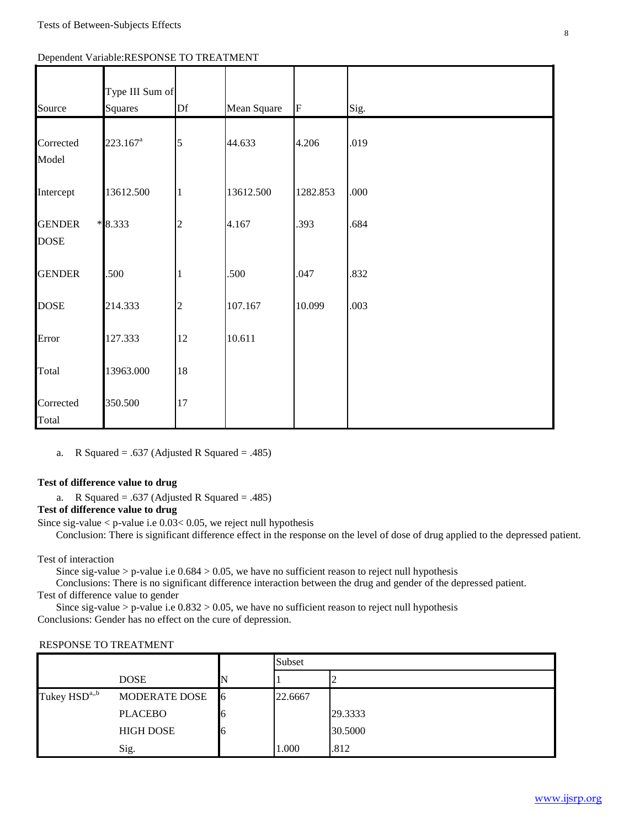|  | Dependent Variable: RESPONSE TO TREATMENT |  |  |
|--|-------------------------------------------|--|--|
|  |                                           |  |  |

| Source                       | Type III Sum of<br><b>Squares</b> | Df             | Mean Square | ${\bf F}$ | Sig. |
|------------------------------|-----------------------------------|----------------|-------------|-----------|------|
| Corrected<br>Model           | $223.167^a$                       | 5              | 44.633      | 4.206     | .019 |
| Intercept                    | 13612.500                         |                | 13612.500   | 1282.853  | .000 |
| <b>GENDER</b><br><b>DOSE</b> | $*8.333$                          | $\overline{c}$ | 4.167       | .393      | .684 |
| <b>GENDER</b>                | .500                              |                | .500        | .047      | .832 |
| <b>DOSE</b>                  | 214.333                           | $\overline{c}$ | 107.167     | 10.099    | .003 |
| Error                        | 127.333                           | 12             | 10.611      |           |      |
| Total                        | 13963.000                         | 18             |             |           |      |
| Corrected<br>Total           | 350.500                           | 17             |             |           |      |

a. R Squared = .637 (Adjusted R Squared = .485)

## **Test of difference value to drug**

a. R Squared = .637 (Adjusted R Squared = .485)

**Test of difference value to drug**

Since sig-value < p-value i.e 0.03< 0.05, we reject null hypothesis

Conclusion: There is significant difference effect in the response on the level of dose of drug applied to the depressed patient.

Test of interaction

Since sig-value > p-value i.e  $0.684 > 0.05$ , we have no sufficient reason to reject null hypothesis

 Conclusions: There is no significant difference interaction between the drug and gender of the depressed patient. Test of difference value to gender

Since sig-value > p-value i.e  $0.832 > 0.05$ , we have no sufficient reason to reject null hypothesis Conclusions: Gender has no effect on the cure of depression.

## RESPONSE TO TREATMENT

|                           |                  |   | Subset  |         |  |
|---------------------------|------------------|---|---------|---------|--|
|                           | <b>DOSE</b>      |   |         | ∼       |  |
| Tukey HSD <sup>a,,b</sup> | MODERATE DOSE    | 6 | 22.6667 |         |  |
|                           | <b>PLACEBO</b>   |   |         | 29.3333 |  |
|                           | <b>HIGH DOSE</b> |   |         | 30.5000 |  |
|                           | Sig.             |   | 1.000   | .812    |  |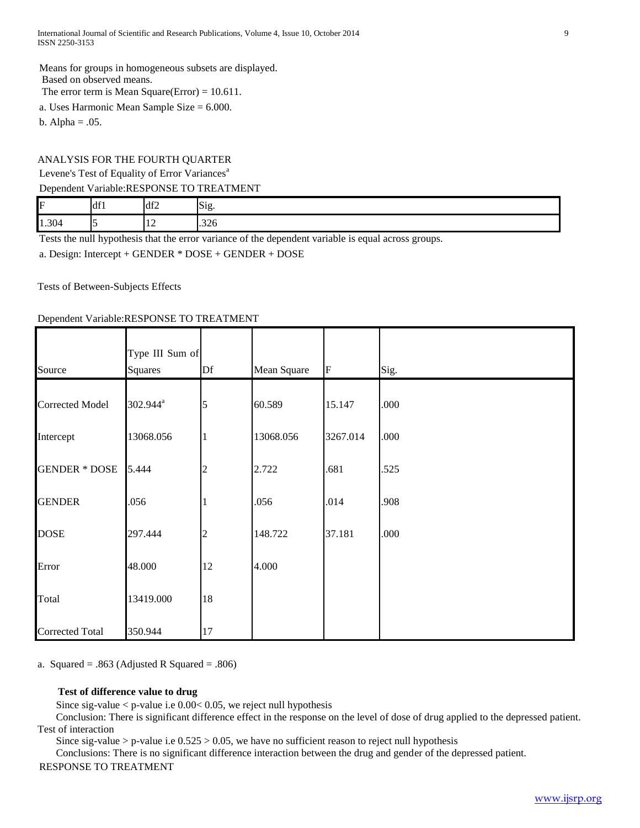Means for groups in homogeneous subsets are displayed. Based on observed means. The error term is Mean Square(Error) = 10.611.

a. Uses Harmonic Mean Sample Size = 6.000.

b. Alpha  $= .05$ .

# ANALYSIS FOR THE FOURTH QUARTER Levene's Test of Equality of Error Variances<sup>a</sup>

## Dependent Variable:RESPONSE TO TREATMENT

| F     | 10 <sup>2</sup><br>lul 1 | df2            | --<br>519 |
|-------|--------------------------|----------------|-----------|
| 1.304 |                          | $\overline{ }$ | .326      |

Tests the null hypothesis that the error variance of the dependent variable is equal across groups.

a. Design: Intercept + GENDER \* DOSE + GENDER + DOSE

Tests of Between-Subjects Effects

# Dependent Variable:RESPONSE TO TREATMENT

|                        | Type III Sum of      |                |             |          |      |
|------------------------|----------------------|----------------|-------------|----------|------|
| Source                 | Squares              | Df             | Mean Square | F        | Sig. |
| <b>Corrected Model</b> | 302.944 <sup>a</sup> | 5              | 60.589      | 15.147   | .000 |
| Intercept              | 13068.056            |                | 13068.056   | 3267.014 | .000 |
| <b>GENDER * DOSE</b>   | 5.444                |                | 2.722       | .681     | .525 |
| <b>GENDER</b>          | .056                 |                | .056        | .014     | .908 |
| <b>DOSE</b>            | 297.444              | $\overline{c}$ | 148.722     | 37.181   | .000 |
| Error                  | 48.000               | 12             | 4.000       |          |      |
| Total                  | 13419.000            | 18             |             |          |      |
| <b>Corrected Total</b> | 350.944              | 17             |             |          |      |

a. Squared =  $.863$  (Adjusted R Squared =  $.806$ )

# **Test of difference value to drug**

Since sig-value < p-value i.e 0.00< 0.05, we reject null hypothesis

 Conclusion: There is significant difference effect in the response on the level of dose of drug applied to the depressed patient. Test of interaction

Since sig-value > p-value i.e  $0.525 > 0.05$ , we have no sufficient reason to reject null hypothesis

Conclusions: There is no significant difference interaction between the drug and gender of the depressed patient.

# RESPONSE TO TREATMENT